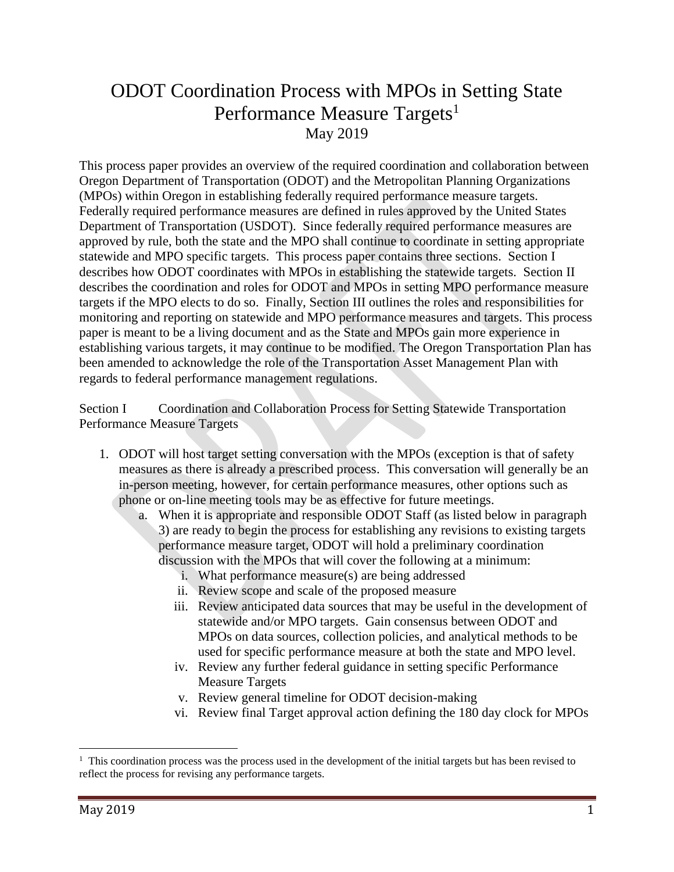## ODOT Coordination Process with MPOs in Setting State Performance Measure Targets<sup>1</sup> May 2019

This process paper provides an overview of the required coordination and collaboration between Oregon Department of Transportation (ODOT) and the Metropolitan Planning Organizations (MPOs) within Oregon in establishing federally required performance measure targets. Federally required performance measures are defined in rules approved by the United States Department of Transportation (USDOT). Since federally required performance measures are approved by rule, both the state and the MPO shall continue to coordinate in setting appropriate statewide and MPO specific targets. This process paper contains three sections. Section I describes how ODOT coordinates with MPOs in establishing the statewide targets. Section II describes the coordination and roles for ODOT and MPOs in setting MPO performance measure targets if the MPO elects to do so. Finally, Section III outlines the roles and responsibilities for monitoring and reporting on statewide and MPO performance measures and targets. This process paper is meant to be a living document and as the State and MPOs gain more experience in establishing various targets, it may continue to be modified. The Oregon Transportation Plan has been amended to acknowledge the role of the Transportation Asset Management Plan with regards to federal performance management regulations.

Section I Coordination and Collaboration Process for Setting Statewide Transportation Performance Measure Targets

- 1. ODOT will host target setting conversation with the MPOs (exception is that of safety measures as there is already a prescribed process. This conversation will generally be an in-person meeting, however, for certain performance measures, other options such as phone or on-line meeting tools may be as effective for future meetings.
	- a. When it is appropriate and responsible ODOT Staff (as listed below in paragraph 3) are ready to begin the process for establishing any revisions to existing targets performance measure target, ODOT will hold a preliminary coordination discussion with the MPOs that will cover the following at a minimum:
		- i. What performance measure(s) are being addressed
		- ii. Review scope and scale of the proposed measure
		- iii. Review anticipated data sources that may be useful in the development of statewide and/or MPO targets. Gain consensus between ODOT and MPOs on data sources, collection policies, and analytical methods to be used for specific performance measure at both the state and MPO level.
		- iv. Review any further federal guidance in setting specific Performance Measure Targets
		- v. Review general timeline for ODOT decision-making
		- vi. Review final Target approval action defining the 180 day clock for MPOs

 $\overline{a}$ 

<sup>&</sup>lt;sup>1</sup> This coordination process was the process used in the development of the initial targets but has been revised to reflect the process for revising any performance targets.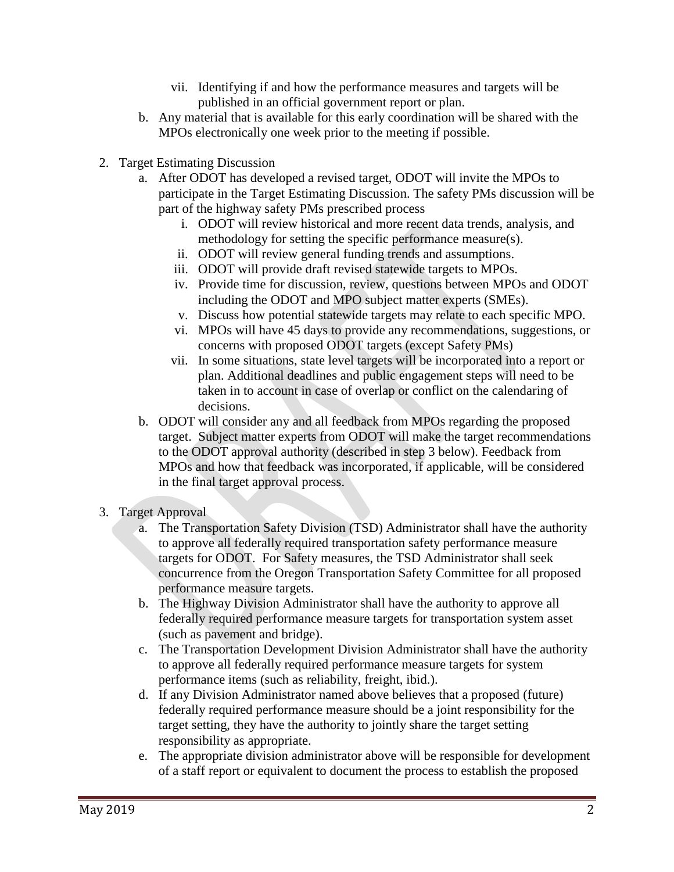- vii. Identifying if and how the performance measures and targets will be published in an official government report or plan.
- b. Any material that is available for this early coordination will be shared with the MPOs electronically one week prior to the meeting if possible.
- 2. Target Estimating Discussion
	- a. After ODOT has developed a revised target, ODOT will invite the MPOs to participate in the Target Estimating Discussion. The safety PMs discussion will be part of the highway safety PMs prescribed process
		- i. ODOT will review historical and more recent data trends, analysis, and methodology for setting the specific performance measure(s).
		- ii. ODOT will review general funding trends and assumptions.
		- iii. ODOT will provide draft revised statewide targets to MPOs.
		- iv. Provide time for discussion, review, questions between MPOs and ODOT including the ODOT and MPO subject matter experts (SMEs).
		- v. Discuss how potential statewide targets may relate to each specific MPO.
		- vi. MPOs will have 45 days to provide any recommendations, suggestions, or concerns with proposed ODOT targets (except Safety PMs)
		- vii. In some situations, state level targets will be incorporated into a report or plan. Additional deadlines and public engagement steps will need to be taken in to account in case of overlap or conflict on the calendaring of decisions.
	- b. ODOT will consider any and all feedback from MPOs regarding the proposed target. Subject matter experts from ODOT will make the target recommendations to the ODOT approval authority (described in step 3 below). Feedback from MPOs and how that feedback was incorporated, if applicable, will be considered in the final target approval process.
- 3. Target Approval
	- a. The Transportation Safety Division (TSD) Administrator shall have the authority to approve all federally required transportation safety performance measure targets for ODOT. For Safety measures, the TSD Administrator shall seek concurrence from the Oregon Transportation Safety Committee for all proposed performance measure targets.
	- b. The Highway Division Administrator shall have the authority to approve all federally required performance measure targets for transportation system asset (such as pavement and bridge).
	- c. The Transportation Development Division Administrator shall have the authority to approve all federally required performance measure targets for system performance items (such as reliability, freight, ibid.).
	- d. If any Division Administrator named above believes that a proposed (future) federally required performance measure should be a joint responsibility for the target setting, they have the authority to jointly share the target setting responsibility as appropriate.
	- e. The appropriate division administrator above will be responsible for development of a staff report or equivalent to document the process to establish the proposed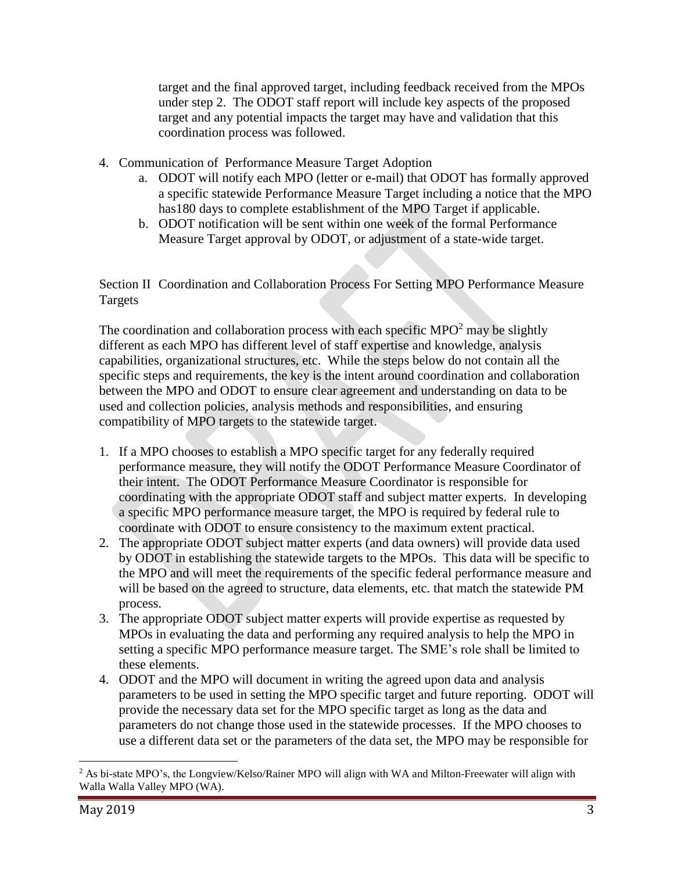target and the final approved target, including feedback received from the MPOs under step 2. The ODOT staff report will include key aspects of the proposed target and any potential impacts the target may have and validation that this coordination process was followed.

- 4. Communication of Performance Measure Target Adoption
	- a. ODOT will notify each MPO (letter or e-mail) that ODOT has formally approved a specific statewide Performance Measure Target including a notice that the MPO has180 days to complete establishment of the MPO Target if applicable.
	- b. ODOT notification will be sent within one week of the formal Performance Measure Target approval by ODOT, or adjustment of a state-wide target.

Section II Coordination and Collaboration Process For Setting MPO Performance Measure Targets

The coordination and collaboration process with each specific MPO<sup>2</sup> may be slightly different as each MPO has different level of staff expertise and knowledge, analysis capabilities, organizational structures, etc. While the steps below do not contain all the specific steps and requirements, the key is the intent around coordination and collaboration between the MPO and ODOT to ensure clear agreement and understanding on data to be used and collection policies, analysis methods and responsibilities, and ensuring compatibility of MPO targets to the statewide target.

- 1. If a MPO chooses to establish a MPO specific target for any federally required performance measure, they will notify the ODOT Performance Measure Coordinator of their intent. The ODOT Performance Measure Coordinator is responsible for coordinating with the appropriate ODOT staff and subject matter experts. In developing a specific MPO performance measure target, the MPO is required by federal rule to coordinate with ODOT to ensure consistency to the maximum extent practical.
- 2. The appropriate ODOT subject matter experts (and data owners) will provide data used by ODOT in establishing the statewide targets to the MPOs. This data will be specific to the MPO and will meet the requirements of the specific federal performance measure and will be based on the agreed to structure, data elements, etc. that match the statewide PM process.
- 3. The appropriate ODOT subject matter experts will provide expertise as requested by MPOs in evaluating the data and performing any required analysis to help the MPO in setting a specific MPO performance measure target. The SME's role shall be limited to these elements.
- 4. ODOT and the MPO will document in writing the agreed upon data and analysis parameters to be used in setting the MPO specific target and future reporting. ODOT will provide the necessary data set for the MPO specific target as long as the data and parameters do not change those used in the statewide processes. If the MPO chooses to use a different data set or the parameters of the data set, the MPO may be responsible for

 $\overline{a}$ 

<sup>&</sup>lt;sup>2</sup> As bi-state MPO's, the Longview/Kelso/Rainer MPO will align with WA and Milton-Freewater will align with Walla Walla Valley MPO (WA).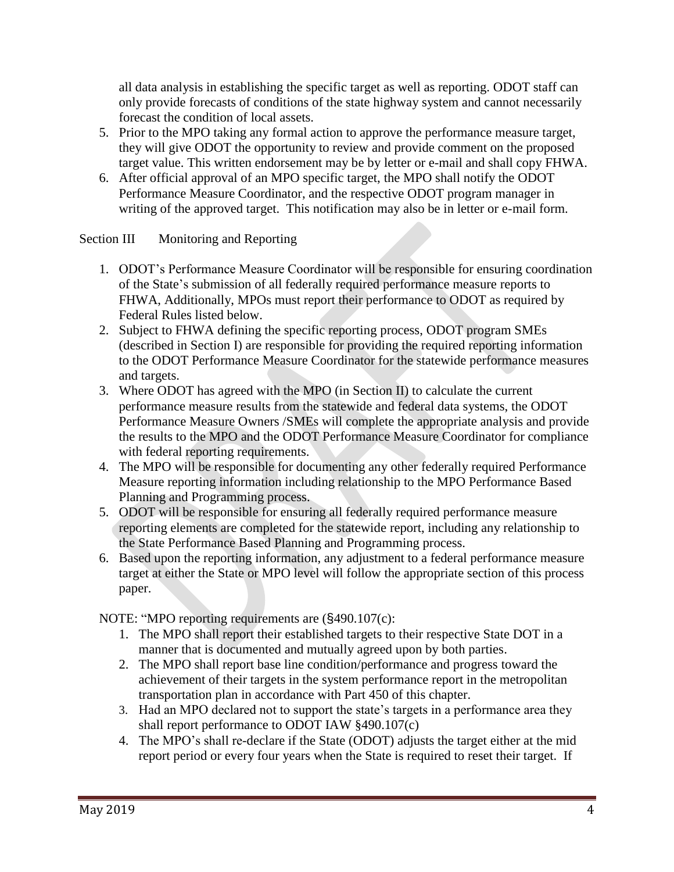all data analysis in establishing the specific target as well as reporting. ODOT staff can only provide forecasts of conditions of the state highway system and cannot necessarily forecast the condition of local assets.

- 5. Prior to the MPO taking any formal action to approve the performance measure target, they will give ODOT the opportunity to review and provide comment on the proposed target value. This written endorsement may be by letter or e-mail and shall copy FHWA.
- 6. After official approval of an MPO specific target, the MPO shall notify the ODOT Performance Measure Coordinator, and the respective ODOT program manager in writing of the approved target. This notification may also be in letter or e-mail form.

Section III Monitoring and Reporting

- 1. ODOT's Performance Measure Coordinator will be responsible for ensuring coordination of the State's submission of all federally required performance measure reports to FHWA, Additionally, MPOs must report their performance to ODOT as required by Federal Rules listed below.
- 2. Subject to FHWA defining the specific reporting process, ODOT program SMEs (described in Section I) are responsible for providing the required reporting information to the ODOT Performance Measure Coordinator for the statewide performance measures and targets.
- 3. Where ODOT has agreed with the MPO (in Section II) to calculate the current performance measure results from the statewide and federal data systems, the ODOT Performance Measure Owners /SMEs will complete the appropriate analysis and provide the results to the MPO and the ODOT Performance Measure Coordinator for compliance with federal reporting requirements.
- 4. The MPO will be responsible for documenting any other federally required Performance Measure reporting information including relationship to the MPO Performance Based Planning and Programming process.
- 5. ODOT will be responsible for ensuring all federally required performance measure reporting elements are completed for the statewide report, including any relationship to the State Performance Based Planning and Programming process.
- 6. Based upon the reporting information, any adjustment to a federal performance measure target at either the State or MPO level will follow the appropriate section of this process paper.

NOTE: "MPO reporting requirements are (§490.107(c):

- 1. The MPO shall report their established targets to their respective State DOT in a manner that is documented and mutually agreed upon by both parties.
- 2. The MPO shall report base line condition/performance and progress toward the achievement of their targets in the system performance report in the metropolitan transportation plan in accordance with Part 450 of this chapter.
- 3. Had an MPO declared not to support the state's targets in a performance area they shall report performance to ODOT IAW §490.107(c)
- 4. The MPO's shall re-declare if the State (ODOT) adjusts the target either at the mid report period or every four years when the State is required to reset their target. If